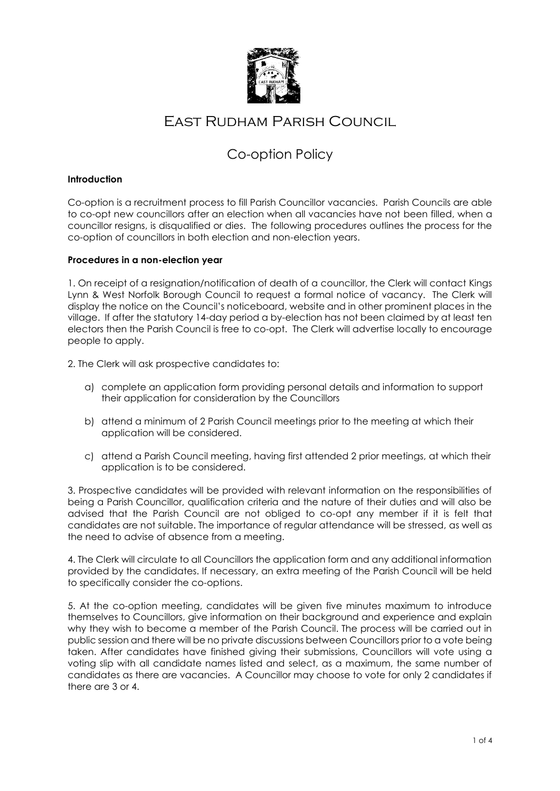

### East Rudham Parish Council

## Co-option Policy

#### **Introduction**

Co-option is a recruitment process to fill Parish Councillor vacancies. Parish Councils are able to co-opt new councillors after an election when all vacancies have not been filled, when a councillor resigns, is disqualified or dies. The following procedures outlines the process for the co-option of councillors in both election and non-election years.

#### **Procedures in a non-election year**

1. On receipt of a resignation/notification of death of a councillor, the Clerk will contact Kings Lynn & West Norfolk Borough Council to request a formal notice of vacancy. The Clerk will display the notice on the Council's noticeboard, website and in other prominent places in the village. If after the statutory 14-day period a by-election has not been claimed by at least ten electors then the Parish Council is free to co-opt. The Clerk will advertise locally to encourage people to apply.

2. The Clerk will ask prospective candidates to:

- a) complete an application form providing personal details and information to support their application for consideration by the Councillors
- b) attend a minimum of 2 Parish Council meetings prior to the meeting at which their application will be considered.
- c) attend a Parish Council meeting, having first attended 2 prior meetings, at which their application is to be considered.

3. Prospective candidates will be provided with relevant information on the responsibilities of being a Parish Councillor, qualification criteria and the nature of their duties and will also be advised that the Parish Council are not obliged to co-opt any member if it is felt that candidates are not suitable. The importance of regular attendance will be stressed, as well as the need to advise of absence from a meeting.

4. The Clerk will circulate to all Councillors the application form and any additional information provided by the candidates. If necessary, an extra meeting of the Parish Council will be held to specifically consider the co-options.

5. At the co-option meeting, candidates will be given five minutes maximum to introduce themselves to Councillors, give information on their background and experience and explain why they wish to become a member of the Parish Council. The process will be carried out in public session and there will be no private discussions between Councillors prior to a vote being taken. After candidates have finished giving their submissions, Councillors will vote using a voting slip with all candidate names listed and select, as a maximum, the same number of candidates as there are vacancies. A Councillor may choose to vote for only 2 candidates if there are 3 or 4.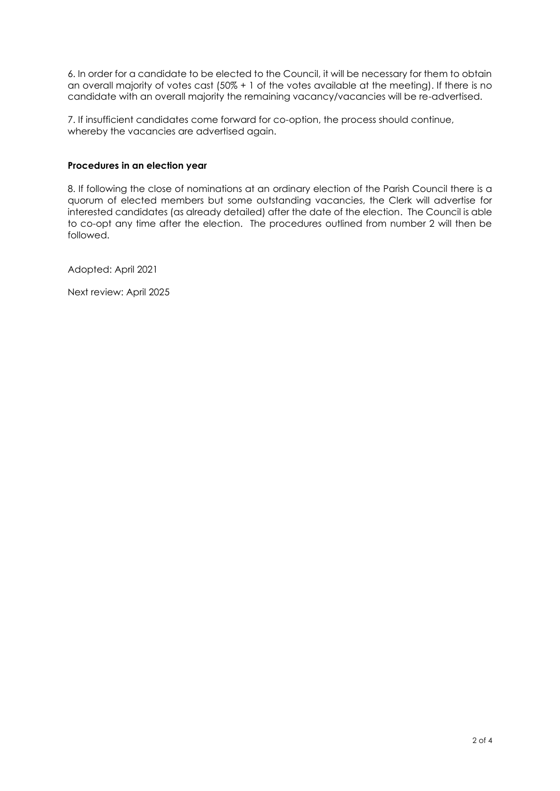6. In order for a candidate to be elected to the Council, it will be necessary for them to obtain an overall majority of votes cast (50% + 1 of the votes available at the meeting). If there is no candidate with an overall majority the remaining vacancy/vacancies will be re-advertised.

7. If insufficient candidates come forward for co-option, the process should continue, whereby the vacancies are advertised again.

#### **Procedures in an election year**

8. If following the close of nominations at an ordinary election of the Parish Council there is a quorum of elected members but some outstanding vacancies, the Clerk will advertise for interested candidates (as already detailed) after the date of the election. The Council is able to co-opt any time after the election. The procedures outlined from number 2 will then be followed.

Adopted: April 2021

Next review: April 2025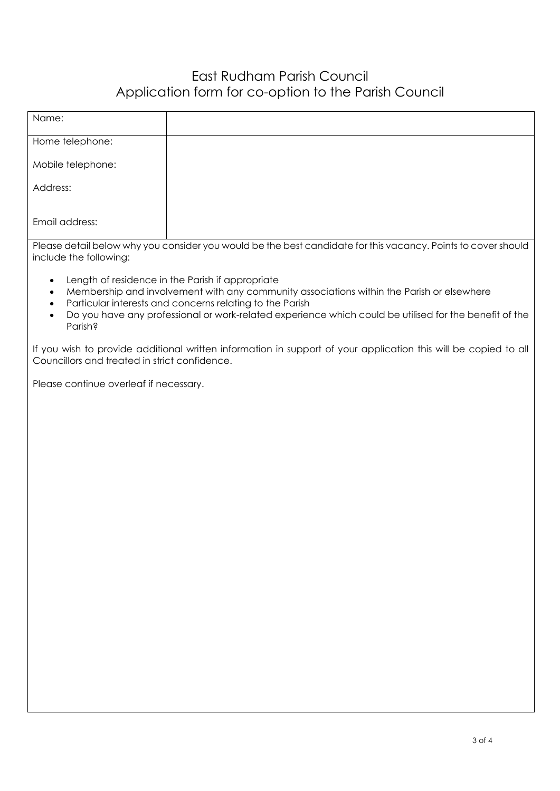# East Rudham Parish Council Application form for co-option to the Parish Council

| Name:                                                                                                                                                            |                                                                                                                                                                                                                                                                                                                     |
|------------------------------------------------------------------------------------------------------------------------------------------------------------------|---------------------------------------------------------------------------------------------------------------------------------------------------------------------------------------------------------------------------------------------------------------------------------------------------------------------|
| Home telephone:                                                                                                                                                  |                                                                                                                                                                                                                                                                                                                     |
| Mobile telephone:                                                                                                                                                |                                                                                                                                                                                                                                                                                                                     |
| Address:                                                                                                                                                         |                                                                                                                                                                                                                                                                                                                     |
| Email address:                                                                                                                                                   |                                                                                                                                                                                                                                                                                                                     |
| Please detail below why you consider you would be the best candidate for this vacancy. Points to cover should<br>include the following:                          |                                                                                                                                                                                                                                                                                                                     |
| $\bullet$<br>٠<br>$\bullet$<br>$\bullet$<br>Parish?                                                                                                              | Length of residence in the Parish if appropriate<br>Membership and involvement with any community associations within the Parish or elsewhere<br>Particular interests and concerns relating to the Parish<br>Do you have any professional or work-related experience which could be utilised for the benefit of the |
| If you wish to provide additional written information in support of your application this will be copied to all<br>Councillors and treated in strict confidence. |                                                                                                                                                                                                                                                                                                                     |
| Please continue overleaf if necessary.                                                                                                                           |                                                                                                                                                                                                                                                                                                                     |
|                                                                                                                                                                  |                                                                                                                                                                                                                                                                                                                     |
|                                                                                                                                                                  |                                                                                                                                                                                                                                                                                                                     |
|                                                                                                                                                                  |                                                                                                                                                                                                                                                                                                                     |
|                                                                                                                                                                  |                                                                                                                                                                                                                                                                                                                     |
|                                                                                                                                                                  |                                                                                                                                                                                                                                                                                                                     |
|                                                                                                                                                                  |                                                                                                                                                                                                                                                                                                                     |
|                                                                                                                                                                  |                                                                                                                                                                                                                                                                                                                     |
|                                                                                                                                                                  |                                                                                                                                                                                                                                                                                                                     |
|                                                                                                                                                                  |                                                                                                                                                                                                                                                                                                                     |
|                                                                                                                                                                  |                                                                                                                                                                                                                                                                                                                     |